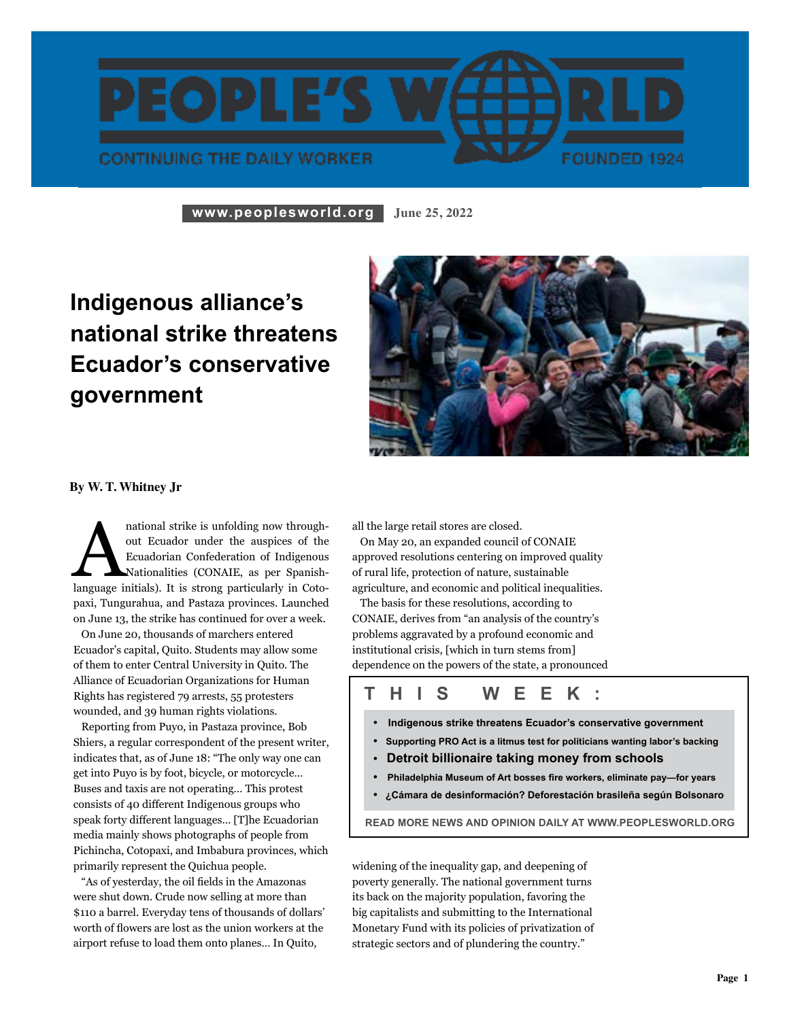

**www.peoplesworld.org June 25, 2022**

## **Indigenous alliance's national strike threatens Ecuador's conservative government**



**By W. T. Whitney Jr**

and trike is unfolding now throughout Ecuador under the auspices of the Ecuadorian Confederation of Indigenous Nationalities (CONAIE, as per Spanish-language initials). It is strong particularly in Cotoout Ecuador under the auspices of the Ecuadorian Confederation of Indigenous Nationalities (CONAIE, as per Spanishpaxi, Tungurahua, and Pastaza provinces. Launched on June 13, the strike has continued for over a week.

 On June 20, thousands of marchers entered Ecuador's capital, Quito. Students may allow some of them to enter Central University in Quito. The Alliance of Ecuadorian Organizations for Human Rights has registered 79 arrests, 55 protesters wounded, and 39 human rights violations.

 Reporting from Puyo, in Pastaza province, Bob Shiers, a regular correspondent of the present writer, indicates that, as of June 18: "The only way one can get into Puyo is by foot, bicycle, or motorcycle… Buses and taxis are not operating… This protest consists of 40 different Indigenous groups who speak forty different languages… [T]he Ecuadorian media mainly shows photographs of people from Pichincha, Cotopaxi, and Imbabura provinces, which primarily represent the Quichua people. hts h<br>nde<br>por<br>ers, a<br>cate

 "As of yesterday, the oil fields in the Amazonas were shut down. Crude now selling at more than \$110 a barrel. Everyday tens of thousands of dollars' worth of flowers are lost as the union workers at the airport refuse to load them onto planes… In Quito,

all the large retail stores are closed.

 On May 20, an expanded council of CONAIE approved resolutions centering on improved quality of rural life, protection of nature, sustainable agriculture, and economic and political inequalities.

 The basis for these resolutions, according to CONAIE, derives from "an analysis of the country's problems aggravated by a profound economic and institutional crisis, [which in turn stems from] dependence on the powers of the state, a pronounced

### **t h i s w ee k :**

- **Indigenous strike threatens Ecuador's conservative government**
- **Supporting PRO Act is a litmus test for politicians wanting labor's backing**
- **Detroit billionaire taking money from schools**
- **Philadelphia Museum of Art bosses fire workers, eliminate pay—for years**
- **• ¿Cámara de desinformación? Deforestación brasileña según Bolsonaro**

**read more news and opinion daily at www.peoplesworld.org**

widening of the inequality gap, and deepening of poverty generally. The national government turns its back on the majority population, favoring the big capitalists and submitting to the International Monetary Fund with its policies of privatization of strategic sectors and of plundering the country."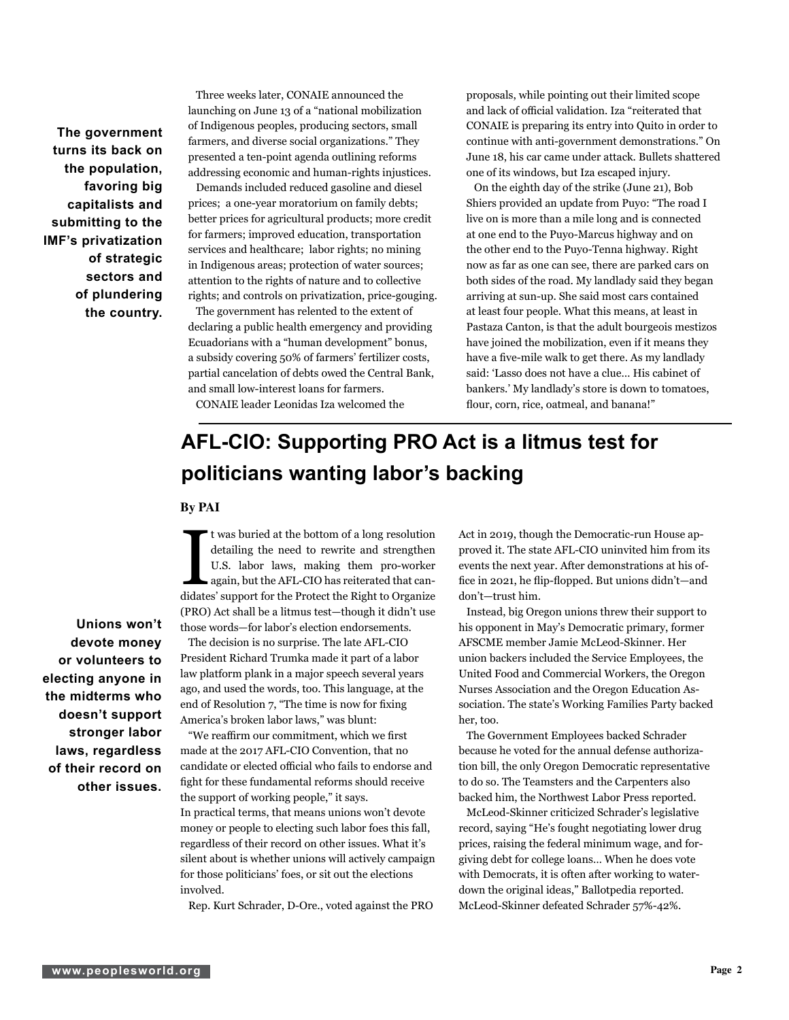**The government turns its back on the population, favoring big capitalists and submitting to the IMF's privatization of strategic sectors and of plundering the country.**

 Three weeks later, CONAIE announced the launching on June 13 of a "national mobilization of Indigenous peoples, producing sectors, small farmers, and diverse social organizations." They presented a ten-point agenda outlining reforms addressing economic and human-rights injustices.

 Demands included reduced gasoline and diesel prices; a one-year moratorium on family debts; better prices for agricultural products; more credit for farmers; improved education, transportation services and healthcare; labor rights; no mining in Indigenous areas; protection of water sources; attention to the rights of nature and to collective rights; and controls on privatization, price-gouging.

 The government has relented to the extent of declaring a public health emergency and providing Ecuadorians with a "human development" bonus, a subsidy covering 50% of farmers' fertilizer costs, partial cancelation of debts owed the Central Bank, and small low-interest loans for farmers.

proposals, while pointing out their limited scope and lack of official validation. Iza "reiterated that CONAIE is preparing its entry into Quito in order to continue with anti-government demonstrations." On June 18, his car came under attack. Bullets shattered one of its windows, but Iza escaped injury.

 On the eighth day of the strike (June 21), Bob Shiers provided an update from Puyo: "The road I live on is more than a mile long and is connected at one end to the Puyo-Marcus highway and on the other end to the Puyo-Tenna highway. Right now as far as one can see, there are parked cars on both sides of the road. My landlady said they began arriving at sun-up. She said most cars contained at least four people. What this means, at least in Pastaza Canton, is that the adult bourgeois mestizos have joined the mobilization, even if it means they have a five-mile walk to get there. As my landlady said: 'Lasso does not have a clue… His cabinet of bankers.' My landlady's store is down to tomatoes, flour, corn, rice, oatmeal, and banana!"

CONAIE leader Leonidas Iza welcomed the

### **AFL-CIO: Supporting PRO Act is a litmus test for politicians wanting labor's backing**

#### **By PAI**

It was buried at the bottom of a long resolution<br>detailing the need to rewrite and strengthen<br>U.S. labor laws, making them pro-worker<br>again, but the AFL-CIO has reiterated that can-<br>didates' support for the Protect the Rig t was buried at the bottom of a long resolution detailing the need to rewrite and strengthen U.S. labor laws, making them pro-worker again, but the AFL-CIO has reiterated that can-(PRO) Act shall be a litmus test—though it didn't use those words—for labor's election endorsements.

 The decision is no surprise. The late AFL-CIO President Richard Trumka made it part of a labor law platform plank in a major speech several years ago, and used the words, too. This language, at the ago, and used the words, too. I his language, at end of Resolution 7, "The time is now for fixing America's broken labor laws," was blunt:

 "We reaffirm our commitment, which we first made at the 2017 AFL-CIO Convention, that no candidate or elected official who fails to endorse and fight for these fundamental reforms should receive the support of working people," it says. In practical terms, that means unions won't devote money or people to electing such labor foes this fall, regardless of their record on other issues. What it's silent about is whether unions will actively campaign for those politicians' foes, or sit out the elections involved.

Rep. Kurt Schrader, D-Ore., voted against the PRO

Act in 2019, though the Democratic-run House approved it. The state AFL-CIO uninvited him from its events the next year. After demonstrations at his office in 2021, he flip-flopped. But unions didn't—and don't—trust him.

 Instead, big Oregon unions threw their support to his opponent in May's Democratic primary, former AFSCME member Jamie McLeod-Skinner. Her union backers included the Service Employees, the United Food and Commercial Workers, the Oregon Nurses Association and the Oregon Education Association. The state's Working Families Party backed her, too.

 The Government Employees backed Schrader because he voted for the annual defense authorization bill, the only Oregon Democratic representative to do so. The Teamsters and the Carpenters also backed him, the Northwest Labor Press reported.

 McLeod-Skinner criticized Schrader's legislative record, saying "He's fought negotiating lower drug prices, raising the federal minimum wage, and forgiving debt for college loans… When he does vote with Democrats, it is often after working to waterdown the original ideas," Ballotpedia reported. McLeod-Skinner defeated Schrader 57%-42%.

**Unions won't devote money or volunteers to electing anyone in the midterms who doesn't support stronger labor laws, regardless of their record on other issues.**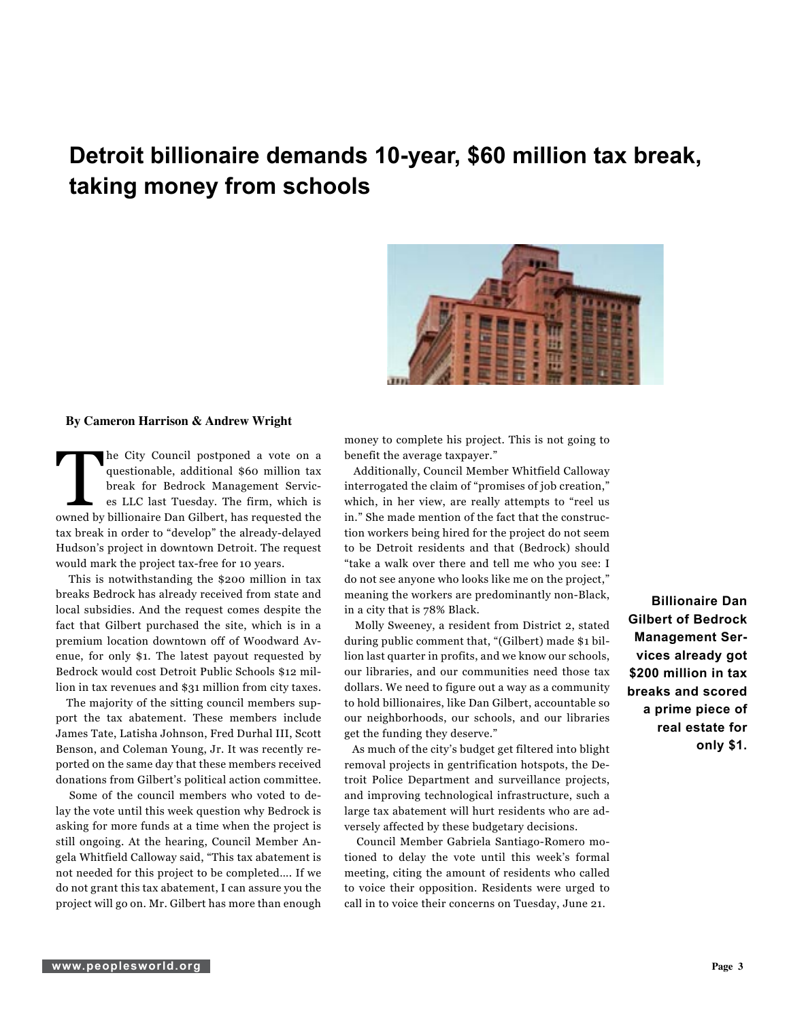### **Detroit billionaire demands 10-year, \$60 million tax break, taking money from schools**



#### **By Cameron Harrison & Andrew Wright**

The City Council postponed a vote on a questionable, additional \$60 million tax<br>break for Bedrock Management Services<br>ELC last Tuesday. The firm, which is<br>owned by billionaire Dan Gilbert, has requested the questionable, additional \$60 million tax break for Bedrock Management Services LLC last Tuesday. The firm, which is tax break in order to "develop" the already-delayed Hudson's project in downtown Detroit. The request would mark the project tax-free for 10 years.

 This is notwithstanding the \$200 million in tax breaks Bedrock has already received from state and local subsidies. And the request comes despite the fact that Gilbert purchased the site, which is in a premium location downtown off of Woodward Avenue, for only \$1. The latest payout requested by Bedrock would cost Detroit Public Schools \$12 million in tax revenues and \$31 million from city taxes.

 The majority of the sitting council members support the tax abatement. These members include James Tate, Latisha Johnson, Fred Durhal III, Scott Benson, and Coleman Young, Jr. It was recently reported on the same day that these members received donations from Gilbert's political action committee.

 Some of the council members who voted to delay the vote until this week question why Bedrock is asking for more funds at a time when the project is still ongoing. At the hearing, Council Member Angela Whitfield Calloway said, "This tax abatement is not needed for this project to be completed…. If we do not grant this tax abatement, I can assure you the project will go on. Mr. Gilbert has more than enough money to complete his project. This is not going to benefit the average taxpayer."

 Additionally, Council Member Whitfield Calloway interrogated the claim of "promises of job creation," which, in her view, are really attempts to "reel us in." She made mention of the fact that the construction workers being hired for the project do not seem to be Detroit residents and that (Bedrock) should "take a walk over there and tell me who you see: I do not see anyone who looks like me on the project," meaning the workers are predominantly non-Black, in a city that is 78% Black.

 Molly Sweeney, a resident from District 2, stated during public comment that, "(Gilbert) made \$1 billion last quarter in profits, and we know our schools, our libraries, and our communities need those tax dollars. We need to figure out a way as a community to hold billionaires, like Dan Gilbert, accountable so our neighborhoods, our schools, and our libraries get the funding they deserve."

 As much of the city's budget get filtered into blight removal projects in gentrification hotspots, the Detroit Police Department and surveillance projects, and improving technological infrastructure, such a large tax abatement will hurt residents who are adversely affected by these budgetary decisions.

 Council Member Gabriela Santiago-Romero motioned to delay the vote until this week's formal meeting, citing the amount of residents who called to voice their opposition. Residents were urged to call in to voice their concerns on Tuesday, June 21.

**Billionaire Dan Gilbert of Bedrock Management Services already got \$200 million in tax breaks and scored a prime piece of real estate for only \$1.**